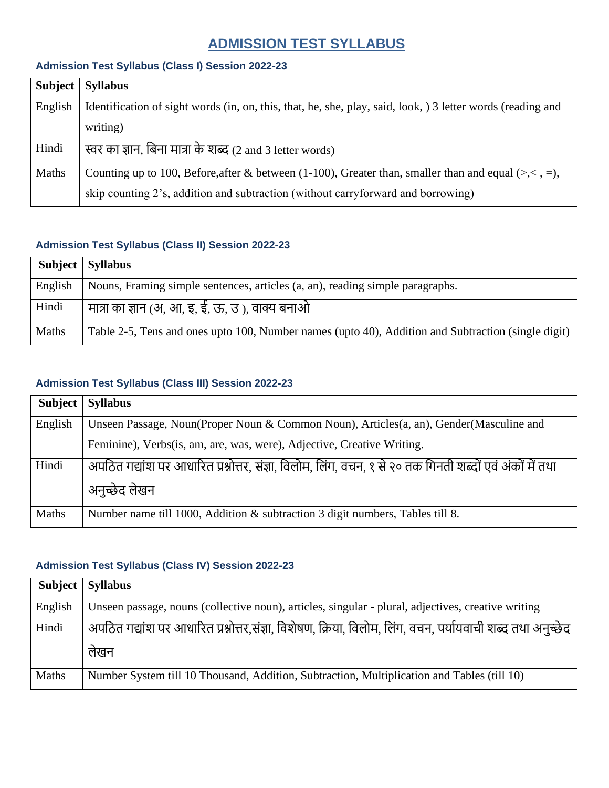# **ADMISSION TEST SYLLABUS**

#### **Admission Test Syllabus (Class I) Session 2022-23**

| <b>Subject</b> | <b>Syllabus</b>                                                                                             |
|----------------|-------------------------------------------------------------------------------------------------------------|
| English        | Identification of sight words (in, on, this, that, he, she, play, said, look, ) 3 letter words (reading and |
|                | writing)                                                                                                    |
| Hindi          | स्वर का ज्ञान, बिना मात्रा के शब्द (2 and 3 letter words)                                                   |
| Maths          | Counting up to 100, Before, after & between (1-100), Greater than, smaller than and equal (>, $\lt$ , =),   |
|                | skip counting 2's, addition and subtraction (without carryforward and borrowing)                            |

#### **Admission Test Syllabus (Class II) Session 2022-23**

|         | Subject   Syllabus                                                                                 |
|---------|----------------------------------------------------------------------------------------------------|
| English | Nouns, Framing simple sentences, articles (a, an), reading simple paragraphs.                      |
| Hindi   | मात्रा का ज्ञान (अ, आ, इ, ई, ऊ, उ ), वाक्य बनाओ                                                    |
| Maths   | Table 2-5, Tens and ones upto 100, Number names (upto 40), Addition and Subtraction (single digit) |

#### **Admission Test Syllabus (Class III) Session 2022-23**

| <b>Subject</b> | <b>Syllabus</b>                                                                                          |
|----------------|----------------------------------------------------------------------------------------------------------|
| English        | Unseen Passage, Noun(Proper Noun & Common Noun), Articles(a, an), Gender(Masculine and                   |
|                | Feminine), Verbs(is, am, are, was, were), Adjective, Creative Writing.                                   |
| Hindi          | अपठित गद्यांश पर आधारित प्रश्नोत्तर, संज्ञा, विलोम, लिंग, वचन, १ से २० तक गिनती शब्दों एवं अंकों में तथा |
|                | अनुच्छेद लेखन                                                                                            |
| Maths          | Number name till 1000, Addition & subtraction 3 digit numbers, Tables till 8.                            |

#### **Admission Test Syllabus (Class IV) Session 2022-23**

| Subject | <b>Syllabus</b>                                                                                            |
|---------|------------------------------------------------------------------------------------------------------------|
| English | Unseen passage, nouns (collective noun), articles, singular - plural, adjectives, creative writing         |
| Hindi   | अपठित गद्यांश पर आधारित प्रश्नोत्तर,संज्ञा, विशेषण, क्रिया, विलोम, लिंग, वचन, पर्यायवाची शब्द तथा अनुच्छेद |
|         | लेखन                                                                                                       |
| Maths   | Number System till 10 Thousand, Addition, Subtraction, Multiplication and Tables (till 10)                 |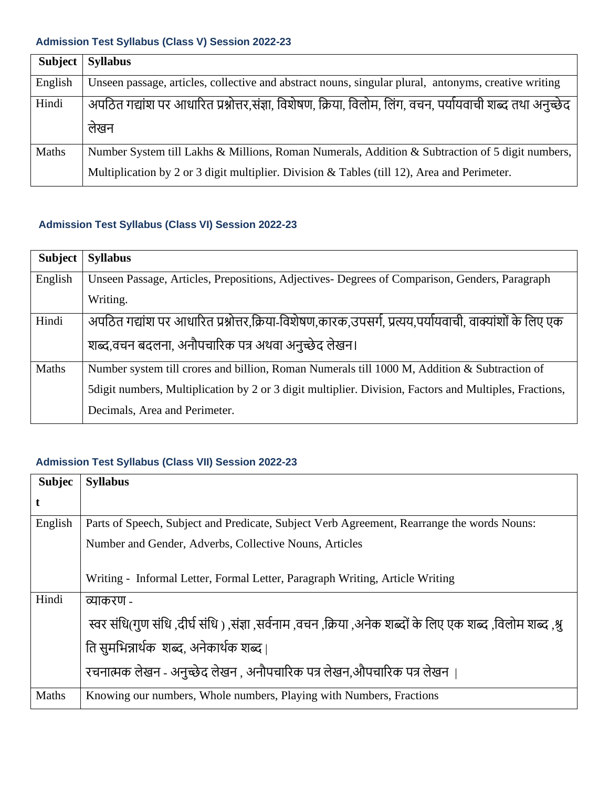## **Admission Test Syllabus (Class V) Session 2022-23**

| <b>Subject</b> | <b>Syllabus</b>                                                                                            |
|----------------|------------------------------------------------------------------------------------------------------------|
| English        | Unseen passage, articles, collective and abstract nouns, singular plural, antonyms, creative writing       |
| Hindi          | अपठित गद्यांश पर आधारित प्रश्नोत्तर,संज्ञा, विशेषण, क्रिया, विलोम, लिंग, वचन, पर्यायवाची शब्द तथा अनुच्छेद |
|                | लेखन                                                                                                       |
| Maths          | Number System till Lakhs & Millions, Roman Numerals, Addition & Subtraction of 5 digit numbers,            |
|                | Multiplication by 2 or 3 digit multiplier. Division & Tables (till 12), Area and Perimeter.                |

## **Admission Test Syllabus (Class VI) Session 2022-23**

| Subject      | <b>Syllabus</b>                                                                                         |
|--------------|---------------------------------------------------------------------------------------------------------|
| English      | Unseen Passage, Articles, Prepositions, Adjectives- Degrees of Comparison, Genders, Paragraph           |
|              | Writing.                                                                                                |
| Hindi        | अपठित गद्यांश पर आधारित प्रश्नोत्तर,क्रिया-विशेषण,कारक,उपसर्ग, प्रत्यय,पर्यायवाची, वाक्यांशों के लिए एक |
|              | शब्द,वचन बदलना, अनौपचारिक पत्र अथवा अनुच्छेद लेखन।                                                      |
| <b>Maths</b> | Number system till crores and billion, Roman Numerals till 1000 M, Addition & Subtraction of            |
|              | 5 digit numbers, Multiplication by 2 or 3 digit multiplier. Division, Factors and Multiples, Fractions, |
|              | Decimals, Area and Perimeter.                                                                           |

## **Admission Test Syllabus (Class VII) Session 2022-23**

| <b>Subjec</b> | <b>Syllabus</b>                                                                                             |
|---------------|-------------------------------------------------------------------------------------------------------------|
| t             |                                                                                                             |
| English       | Parts of Speech, Subject and Predicate, Subject Verb Agreement, Rearrange the words Nouns:                  |
|               | Number and Gender, Adverbs, Collective Nouns, Articles                                                      |
|               | Writing - Informal Letter, Formal Letter, Paragraph Writing, Article Writing                                |
| Hindi         | व्याकरण -                                                                                                   |
|               | स्वर संधि(गुण संधि ,दीर्घ संधि ) ,संज्ञा ,सर्वनाम ,वचन ,क्रिया ,अनेक शब्दों के लिए एक शब्द ,विलोम शब्द ,श्र |
|               | ति सुमभिन्नार्थक) शब्द, अनेकार्थक शब्द।                                                                     |
|               | रचनात्मक लेखन - अनुच्छेद लेखन , अनौपचारिक पत्र लेखन,औपचारिक पत्र लेखन                                       |
| Maths         | Knowing our numbers, Whole numbers, Playing with Numbers, Fractions                                         |